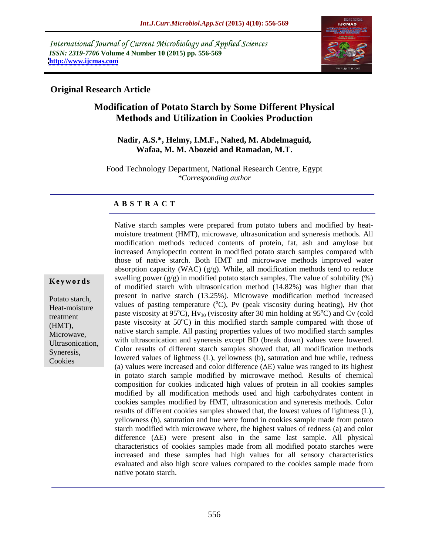International Journal of Current Microbiology and Applied Sciences *ISSN: 2319-7706* **Volume 4 Number 10 (2015) pp. 556-569 <http://www.ijcmas.com>**



### **Original Research Article**

## **Modification of Potato Starch by Some Different Physical Methods and Utilization in Cookies Production**

#### **Nadir, A.S.\*, Helmy, I.M.F., Nahed, M. Abdelmaguid, Wafaa, M. M. Abozeid and Ramadan, M.T.**

Food Technology Department, National Research Centre, Egypt *\*Corresponding author*

### **A B S T R A C T**

modification methods reduced contents of protein, fat, ash and amylose but increased Amylopectin content in modified potato starch samples compared with those of native starch. Both HMT and microwave methods improved water absorption capacity (WAC) (g/g). While, all modification methods tend to reduce **Keywords** swelling power  $(g/g)$  in modified potato starch samples. The value of solubility  $(\%)$ of modified starch with ultrasonication method (14.82%) was higher than that Potato starch, present in native starch (13.25%). Microwave modification method increased Foldo staten,<br>Heat-moisture values of pasting temperature  $({}^{\circ}C)$ , Pv (peak viscosity during heating), Hv (hot treatment paste viscosity at  $95^{\circ}$ C), Hv<sub>30</sub> (viscosity after 30 min holding at  $95^{\circ}$ C) and Cv (cold treatment  $^{\circ}$ C) and Cv (cold  $(HMT)$ , paste viscosity at  $50^{\circ}$ C) in this modified starch sample compared with those of Microwave, native starch sample. All pasting properties values of two modified starch samples<br>Microwave, with ultrasonication and syneresis except BD (break down) values were lowered. Syneresis, Color results of different starch samples showed that, all modification methods Syneresis, lowered values of lightness (L), yellowness (b), saturation and hue while, redness (a) values were increased and color difference  $(\Delta E)$  value was ranged to its highest in potato starch sample modified by microwave method. Results of chemical composition for cookies indicated high values of protein in all cookies samples modified by all modification methods used and high carbohydrates content in cookies samples modified by HMT, ultrasonication and syneresis methods. Color results of different cookies samples showed that, the lowest values of lightness (L), yellowness (b), saturation and hue were found in cookies sample made from potato starch modified with microwave where, the highest values of redness (a) and color difference  $(\Delta E)$  were present also in the same last sample. All physical characteristics of cookies samples made from all modified potato starches were increased and these samples had high values for all sensory characteristics evaluated and also high score values compared to the cookies sample made from native potato starch.

Native starch samples were prepared from potato tubers and modified by heat moisture treatment (HMT), microwave, ultrasonication and syneresis methods. All

Cookies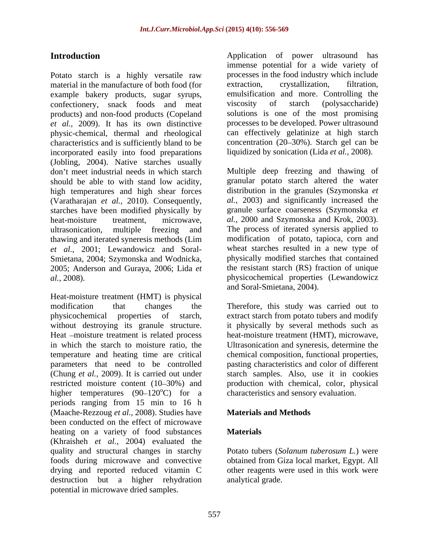Potato starch is a highly versatile raw processes in the food industry which include material in the manufacture of both food (for extraction, crystallization, filtration, material in the manufacture of both food (for extraction, example bakery products, sugar syrups, emulsification and more. Controlling the confectionery, snack foods and meat viscosity of starch (polysaccharide) confectionery, snack foods and meat products) and non-food products (Copeland *et al.,* 2009). It has its own distinctive physic-chemical, thermal and rheological characteristics and is sufficiently bland to be incorporated easily into food preparations (Jobling, 2004). Native starches usually don't meet industrial needs in which starch Multiple deep freezing and thawing of should be able to with stand low acidity, high temperatures and high shear forces (Varatharajan et al., 2010). Consequently, (Varatharajan *et al.,* 2010). Consequently, *al.,* 2003) and significantly increased the starches have been modified physically by heat-moisture treatment, microwave, *al.,* 2000 and Szymonska and Krok, 2003). ultrasonication, multiple freezing and The process of iterated synersis applied to thawing and iterated syneresis methods (Lim *et al.,* 2001; Lewandowicz and Soral- wheat starches resulted in a new type of Smietana, 2004; Szymonska and Wodnicka, 2005; Anderson and Guraya, 2006; Lida *et* 

Heat-moisture treatment (HMT) is physical without destroying its granule structure. in which the starch to moisture ratio, the parameters that need to be controlled higher temperatures  $(90-120^{\circ}C)$  for a periods ranging from 15 min to 16 h (Maache-Rezzoug *et al.,* 2008). Studies have been conducted on the effect of microwave heating on a variety of food substances **Materials** (Khraisheh *et al.,* 2004) evaluated the quality and structural changes in starchy foods during microwave and convective drying and reported reduced vitamin C other reagents were used in this work were destruction but a higher rehydration potential in microwave dried samples.

**Introduction Application C Application of power ultrasound has** immense potential for a wide variety of processes in the food industry which include extraction, crystallization, filtration, emulsification and more. Controlling the viscosity of starch (polysaccharide) solutions is one of the most promising processes to be developed. Power ultrasound can effectively gelatinize at high starch concentration  $(20-30\%)$ . Starch gel can be liquidized by sonication (Lida *et al.,* 2008).

*al.,* 2008). physicochemical properties (Lewandowicz granular potato starch altered the water distribution in the granules (Szymonska *et*  granule surface coarseness (Szymonska *et*  modification of potato, tapioca, corn and physically modified starches that contained the resistant starch (RS) fraction of unique and Soral-Smietana, 2004).

modification that changes the Therefore, this study was carried out to physicochemical properties of starch, extract starch from potato tubers and modify Heat moisture treatment is related process heat-moisture treatment (HMT), microwave, temperature and heating time are critical chemical composition, functional properties, (Chung *et al.,* 2009). It is carried out under starch samples. Also, use it in cookies restricted moisture content (10 30%) and production with chemical, color, physical it physically by several methods such as Ultrasonication and syneresis, determine the pasting characteristics and color of different characteristics and sensory evaluation.

### **Materials and Methods**

### **Materials**

Potato tubers (*Solanum tuberosum L.*) were obtained from Giza local market, Egypt. All analytical grade.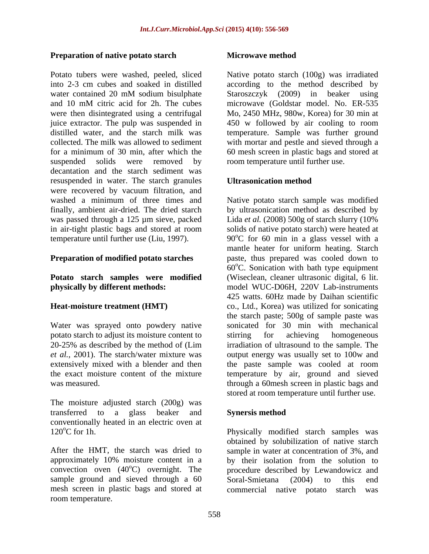### **Preparation of native potato starch Microwave method**

Potato tubers were washed, peeled, sliced into 2-3 cm cubes and soaked in distilled according to the method described by water contained 20 mM sodium bisulphate Staroszczyk (2009) in beaker using and 10 mM citric acid for 2h. The cubes microwave (Goldstar model. No. ER-535 were then disintegrated using a centrifugal Mo, 2450 MHz, 980w, Korea) for 30 min at juice extractor. The pulp was suspended in 450 w followed by air cooling to room distilled water, and the starch milk was temperature. Sample was further ground collected. The milk was allowed to sediment with mortar and pestle and sieved through a for a minimum of 30 min, after which the 60 mesh screen in plastic bags and stored at suspended solids were removed by room temperature until further use. decantation and the starch sediment was resuspended in water. The starch granules **Ultrasonication method** were recovered by vacuum filtration, and

Water was sprayed onto powdery native potato starch to adjust its moisture content to stirring for achieving homogeneous

The moisture adjusted starch (200g) was transferred to a glass beaker and **Synersis method** conventionally heated in an electric oven at 120°C for 1h. Physically modified starch samples was

After the HMT, the starch was dried to sample in water at concentration of 3%, and approximately 10% moisture content in a by their isolation from the solution to convection oven  $(40^{\circ}C)$  overnight. The sample ground and sieved through a 60 Soral-Smietana (2004) to this end mesh screen in plastic bags and stored at room temperature.

#### **Microwave method**

Native potato starch (100g) was irradiated Staroszczyk (2009) in beaker using

### **Ultrasonication method**

washed a minimum of three times and Native potato starch sample was modified finally, ambient air-dried. The dried starch by ultrasonication method as described by was passed through a 125 µm sieve, packed Lida *et al.* (2008) 500g of starch slurry (10% in air-tight plastic bags and stored at room solids of native potato starch) were heated at temperature until further use (Liu, 1997).  $90^{\circ}$ C for 60 min in a glass vessel with a **Preparation of modified potato starches** paste, thus prepared was cooled down to **Potato starch samples were modified** (Wiseclean, cleaner ultrasonic digital, 6 lit. **physically by different methods:** model WUC-D06H, 220V Lab-instruments **Heat-moisture treatment (HMT)** co., Ltd., Korea) was utilized for sonicating 20-25% as described by the method of (Lim irradiation of ultrasound to the sample. The *et al.,* 2001). The starch/water mixture was output energy was usually set to 100w and extensively mixed with a blender and then the paste sample was cooled at room the exact moisture content of the mixture temperature by air, ground and sieved was measured. through a 60mesh screen in plastic bags and mantle heater for uniform heating. Starch  $60^{\circ}$ C. Sonication with bath type equipment 425 watts. 60Hz made by Daihan scientific the starch paste; 500g of sample paste was sonicated for 30 min with mechanical stirring for achieving homogeneous stored at room temperature until further use.

### **Synersis method**

<sup>o</sup>C) overnight. The procedure described by Lewandowicz and obtained by solubilization of native starch Soral-Smietana (2004) to this end commercial native potato starch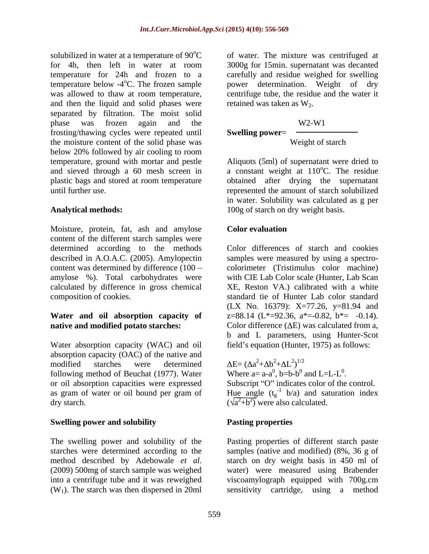solubilized in water at a temperature of  $90^{\circ}$ C of water. The mixture was centrifuged at for 4h, then left in water at room 3000g for 15min. supernatant was decanted temperature for 24h and frozen to a carefully and residue weighed for swelling temperature below -4<sup>o</sup>C. The frozen sample power determination. Weight of dry was allowed to thaw at room temperature, centrifuge tube, the residue and the water it and then the liquid and solid phases were separated by filtration. The moist solid phase was frozen again and the frosting/thawing cycles were repeated until the moisture content of the solid phase was below 20% followed by air cooling to room temperature, ground with mortar and pestle Aliquots (5ml) of supernatant were dried to and sieved through a 60 mesh screen in a constant weight at  $110^{\circ}$ C. The residue plastic bags and stored at room temperature obtained after drying the supernatant until further use. represented the amount of starch solubilized

Moisture, protein, fat, ash and amylose Color evaluation content of the different starch samples were determined according to the methods Color differences of starch and cookies described in A.O.A.C. (2005). Amylopectin content was determined by difference (100 amylose %). Total carbohydrates were with CIE Lab Color scale (Hunter, Lab Scan calculated by difference in gross chemical

# **Water and oil absorption capacity of**

Water absorption capacity (WAC) and oil absorption capacity (OAC) of the native and<br>modified starches were determined  $\Delta E = (\Delta a^2 + \Delta b^2 + \Delta L^2)^{1/2}$ modified starches were determined  $\Delta E = (\Delta a^2 + \Delta b^2 + \Delta L^2)^{1/2}$ following method of Beuchat (1977). Water or oil absorption capacities were expressed as gram of water or oil bound per gram of Hue angle  $(t_g^{-1} b/a)$  and saturation index

### **Swelling power and solubility**

 $(W_1)$ . The starch was then dispersed in 20ml sensitivity cartridge, using a method

retained was taken as  $W_2$ .

### W2-W1

#### **Swelling power**=

#### Weight of starch

Analytical methods:  $100g$  of starch on dry weight basis. <sup>o</sup>C. The residue in water. Solubility was calculated as g per

### **Color evaluation**

composition of cookies. standard tie of Hunter Lab color standard **native and modified potato starches:** Color difference ( $\Delta E$ ) was calculated from a, samples were measured by using a spectro colorimeter (Tristimulus color machine) XE, Reston VA.) calibrated with a white (LX No. 16379): X=77.26, y=81.94 and  $z=88.14$  (L\*=92.36, a\*=-0.82, b\*= -0.14). b and L parameters, using Hunter-Scot field's equation (Hunter, 1975) as follows:

dry starch.  $(\sqrt{a^2+b^2})$  were also calculated.  $E = (\Delta a^2 + \Delta b^2 + \Delta L^2)^{1/2}$  $^{2}+\Delta b^{2}+\Delta L^{2})^{1/2}$  $(2+\Delta L^2)^{1/2}$  $2\sqrt{1/2}$  $)$ <sup>1/2</sup> Where  $a=a-a^0$ ,  $b=b-b^0$  and  $L=L-L^0$ . , b=b-b<sup>0</sup> and L=L-L<sup>0</sup>.  $\sigma_{\text{I}}$  or  $\sigma_{\text{I}}$  or  $\sigma_{\text{I}}$ and  $L=L-L^0$ . 0 . Subscript "O" indicates color of the control.

### **Pasting properties**

The swelling power and solubility of the Pasting properties of different starch paste starches were determined according to the samples (native and modified) (8%, 36 g of method described by Adebowale *et al.* starch on dry weight basis in 450 ml of (2009) 500mg of starch sample was weighed water) were measured using Brabender into a centrifuge tube and it was reweighed viscoamylograph equipped with 700g.cm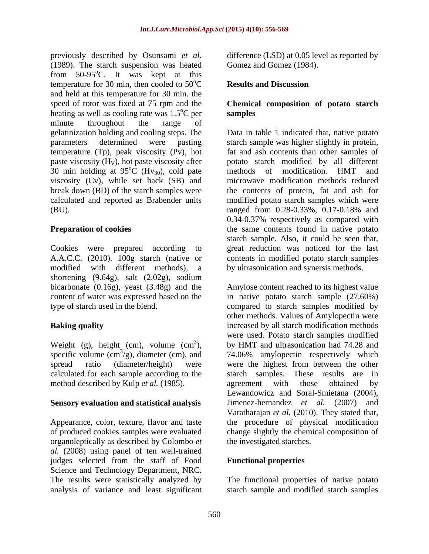previously described by Osunsami *et al.*  (1989). The starch suspension was heated from  $50-95^{\circ}$ C. It was kept at this temperature for 30 min, then cooled to  $50^{\circ}$ C and held at this temperature for 30 min. the speed of rotor was fixed at 75 rpm and the **Chemical composition of potato starch** heating as well as cooling rate was  $1.5^{\circ}$ C per samples minute throughout the range of gelatinization holding and cooling steps. The Data in table 1 indicated that, native potato parameters determined were pasting starch sample was higher slightly in protein, temperature (Tp), peak viscosity (Pv), hot fat and ash contents than other samples of paste viscosity (H<sub>V</sub>), hot paste viscosity after potato starch modified by 30 min holding at  $95^{\circ}$ C (H<sub>V<sub>30</sub>), cold pate methods of modification.</sub> 30 min holding at  $95^{\circ}$ C (Hv<sub>30</sub>), cold pate methods of modification. HMT and viscosity (Cv), while set back (SB) and break down (BD) of the starch samples were the contents of protein, fat and ash for calculated and reported as Brabender units modified potato starch samples which were (BU). ranged from 0.28-0.33%, 0.17-0.18% and

Cookies were prepared according to great reduction was noticed for the last A.A.C.C. (2010). 100g starch (native or contents in modified potato starch samples modified with different methods), a by ultrasonication and synersis methods. shortening (9.64g), salt (2.02g), sodium bicarbonate (0.16g), yeast (3.48g) and the

Weight (g), height (cm), volume (cm<sup>3</sup>), specific volume (cm<sup>3</sup>/g), diameter (cm), and calculated for each sample according to the method described by Kulp *et al.* (1985). agreement with those obtained by

### **Sensory evaluation and statistical analysis**

organoleptically as described by Colombo *et al.* (2008) using panel of ten well-trained judges selected from the staff of Food Science and Technology Department, NRC. The results were statistically analyzed by

difference (LSD) at 0.05 level as reported by Gomez and Gomez (1984).

#### **Results and Discussion Results and Discussion**

## **samples**

 ${}^{\circ}C$  (Hv<sub>30</sub>), cold pate methods of modification. HMT and **Preparation of cookies the same contents found in native potato** potato starch modified by all different methods of modification. HMT and microwave modification methods reduced ranged from 0.28-0.33%, 0.17-0.18% and 0.34-0.37% respectively as compared with starch sample. Also, it could be seen that,

content of water was expressed based on the in native potato starch sample (27.60%) type of starch used in the blend. compared to starch samples modified by **Baking quality increased by all starch modification methods** <sup>3</sup>), by HMT and ultrasonication had 74.28 and specific volume  $\text{cm}^3/\text{g}$ ), diameter (cm), and  $\text{H}_2$  74.06% amylopectin respectively which spread ratio (diameter/height) were were the highest from between the other Appearance, color, texture, flavor and taste the procedure of physical modification of produced cookies samples were evaluated change slightly the chemical composition of Amylose content reached to its highest value other methods. Values of Amylopectin were were used. Potato starch samples modified starch samples. These results are in agreement with those obtained by Lewandowicz and Soral-Smietana (2004), Jimenez-hernandez *et al.* (2007) and Varatharajan *et al.* (2010). They stated that, the investigated starches.

### **Functional properties**

analysis of variance and least significant starch sample and modified starch samplesThe functional properties of native potato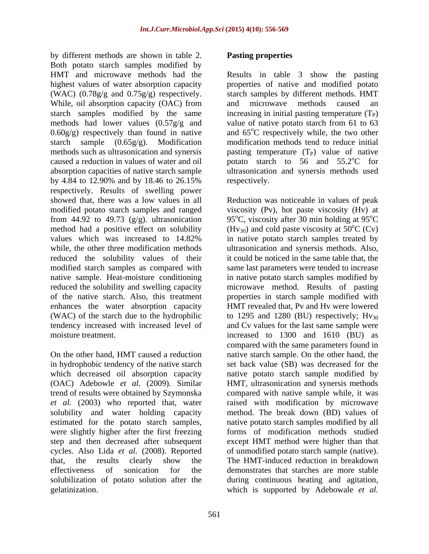by different methods are shown in table 2. Both potato starch samples modified by HMT and microwave methods had the Results in table 3 show the pasting highest values of water absorption capacity properties of native and modified potato (WAC)  $(0.78g/g$  and  $0.75g/g$  respectively. While, oil absorption capacity (OAC) from and microwave methods caused an starch samples modified by the same increasing in initial pasting temperature  $(T_P)$ methods had lower values (0.57g/g and value of native potato starch from 61 to 63  $0.60g/g$  respectively than found in native and  $65^{\circ}$ C respectively while, the two other starch sample (0.65g/g). Modification modification methods tend to reduce initial methods such as ultrasonication and synersis  $\qquad$  pasting temperature  $(T_P)$  value of native caused a reduction in values of water and oil  $\qquad$  potato starch to 56 and 55.2 °C for absorption capacities of native starch sample ultrasonication and synersis methods used by 4.84 to 12.90% and by 18.46 to 26.15% respectively. Results of swelling power showed that, there was a low values in all Reduction was noticeable in values of peak modified potato starch samples and ranged viscosity (Pv), hot paste viscosity (Hv) at from 44.92 to 49.73 (g/g). ultrasonication 95°C, viscosity after 30 min holding at 95°C method had a positive effect on solubility ( $Hv_{30}$ ) and cold paste viscosity at 50<sup>o</sup>C (Cv) values which was increased to 14.82% in native potato starch samples treated by while, the other three modification methods ultrasonication and synersis methods. Also, reduced the solubility values of their it could be noticed in the same table that, the modified starch samples as compared with native sample. Heat-moisture conditioning in native potato starch samples modified by reduced the solubility and swelling capacity microwave method. Results of pasting of the native starch. Also, this treatment properties in starch sample modified with enhances the water absorption capacity HMT revealed that, Pv and Hv were lowered (WAC) of the starch due to the hydrophilic to 1295 and 1280 (BU) respectively;  $Hv_{30}$ tendency increased with increased level of and Cv values for the last same sample were

*et al.* (2003) who reported that, water were slightly higher after the first freezing

### **Pasting properties**

starch samples by different methods. HMT and microwave methods caused an <sup>o</sup>C for respectively.

moisture treatment. increased to 1300 and 1610 (BU) as On the other hand, HMT caused a reduction native starch sample. On the other hand, the in hydrophobic tendency of the native starch set back value (SB) was decreased for the which decreased oil absorption capacity a native potato starch sample modified by (OAC) Adebowle *et al.* (2009). Similar HMT, ultrasonication and synersis methods trend of results were obtained by Szymonska compared with native sample while, it was solubility and water holding capacity method. The break down (BD) values of estimated for the potato starch samples, native potato starch samples modified by all step and then decreased after subsequent except HMT method were higher than that cycles. Also Lida *et al.* (2008). Reported of unmodified potato starch sample (native). that, the results clearly show the The HMT-induced reduction in breakdown effectiveness of sonication for the demonstrates that starches are more stable solubilization of potato solution after the during continuous heating and agitation, gelatinization. which is supported by Adebowale *et al.*<sup>o</sup>C  ${}^{\circ}C$  (Cv) same last parameters were tended to increase compared with the same parameters found in raised with modification by microwave forms of modification methods studied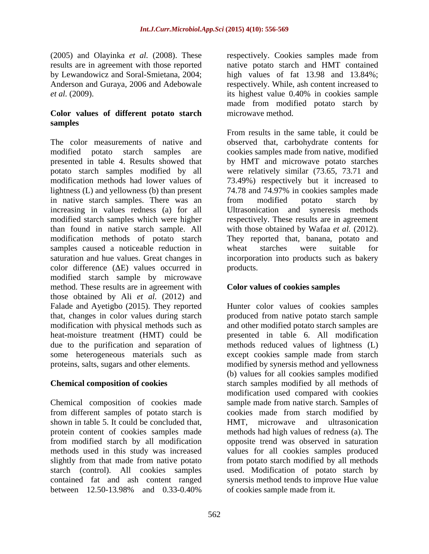(2005) and Olayinka *et al.* (2008). These results are in agreement with those reported *et al.* (2009). its highest value 0.40% in cookies sample

### **Color values of different potato starch samples**

The color measurements of native and observed that, carbohydrate contents for modified potato starch samples are cookies samples made from native, modified presented in table 4. Results showed that by HMT and microwave potato starches potato starch samples modified by all were relatively similar (73.65, 73.71 and modification methods had lower values of 73.49%) respectively but it increased to lightness (L) and yellowness (b) than present in native starch samples. There was an from modified potato starch by increasing in values redness (a) for all Ultrasonication and syneresis methods modified starch samples which were higher respectively. These results are in agreement than found in native starch sample. All with those obtained by Wafaa *et al.* (2012). modification methods of potato starch They reported that, banana, potato and samples caused a noticeable reduction in wheat starches were suitable for saturation and hue values. Great changes in incorporation into products such as bakery color difference  $(\Delta E)$  values occurred in products. modified starch sample by microwave method. These results are in agreement with those obtained by Ali *et al.* (2012) and Falade and Ayetigbo (2015). They reported Hunter color values of cookies samples that, changes in color values during starch produced from native potato starch sample modification with physical methods such as heat-moisture treatment (HMT) could be presented in table 6. All modification due to the purification and separation of methods reduced values of lightness (L) some heterogeneous materials such as except cookies sample made from starch proteins, salts, sugars and other elements. modified by synersis method and yellowness

Chemical composition of cookies made shown in table 5. It could be concluded that, HMT, microwave and ultrasonication from modified starch by all modification

by Lewandowicz and Soral-Smietana, 2004; high values of fat 13.98 and 13.84%; Anderson and Guraya, 2006 and Adebowale respectively. While, ash content increased to respectively. Cookies samples made from native potato starch and HMT contained its highest value 0.40% in cookies sample made from modified potato starch by microwave method.

> From results in the same table, it could be 74.78 and 74.97% in cookies samples made from modified potato starch by wheat starches were suitable for products.

### **Color values of cookies samples**

**Chemical composition of cookies** starch samples modified by all methods of from different samples of potato starch is cookies made from starch modified by protein content of cookies samples made methods had high values of redness (a). The methods used in this study was increased values for all cookies samples produced slightly from that made from native potato from potato starch modified by all methods starch (control). All cookies samples used. Modification of potato starch by contained fat and ash content ranged synersis method tends to improve Hue value between 12.50-13.98% and 0.33-0.40% of cookies sample made from it. and other modified potato starch samples are (b) values for all cookies samples modified modification used compared with cookies sample made from native starch. Samples of HMT, microwave and ultrasonication opposite trend was observed in saturation of cookies sample made from it.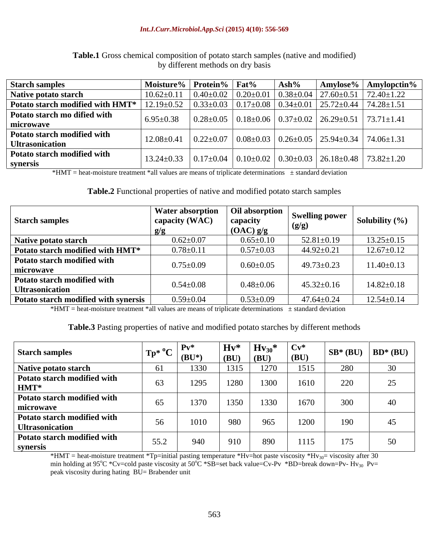#### *Int.J.Curr.Microbiol.App.Sci* **(2015) 4(10): 556-569**

| <b>Starch samples</b>            |                                                                                                               |  |  | Moisture% Protein% Fat% Ash% Amylose% Amylopctin%                                                                                |
|----------------------------------|---------------------------------------------------------------------------------------------------------------|--|--|----------------------------------------------------------------------------------------------------------------------------------|
| <b>Native potato starch</b>      |                                                                                                               |  |  | $10.62 \pm 0.11$   $0.40 \pm 0.02$   $0.20 \pm 0.01$   $0.38 \pm 0.04$   $27.60 \pm 0.51$   $72.40 \pm 1.22$                     |
| Potato starch modified with HMT* |                                                                                                               |  |  | 52 $\mid$ 0.33±0.03 $\mid$ 0.17±0.08 $\mid$ 0.34±0.01 $\mid$ 25.72±0.44 $\mid$ 74.28±1.51                                        |
| Potato starch mo dified with     | $\vert$ 6.95±0.38 $\vert$ 0.28±0.05 $\vert$ 0.18±0.06 $\vert$ 0.37±0.02 $\vert$ 26.29±0.51 $\vert$ 73.71±1.41 |  |  |                                                                                                                                  |
| microwave                        |                                                                                                               |  |  |                                                                                                                                  |
| Potato starch modified with      |                                                                                                               |  |  |                                                                                                                                  |
| <b>Ultrasonication</b>           |                                                                                                               |  |  | $12.08\pm0.41$ $0.22\pm0.07$ $0.08\pm0.03$ $0.26\pm0.05$ $25.94\pm0.34$ $74.06\pm1.31$                                           |
| Potato starch modified with      |                                                                                                               |  |  |                                                                                                                                  |
| svnersis                         |                                                                                                               |  |  | $13.24 \pm 0.33$ $\big  0.17 \pm 0.04$ $\big  0.10 \pm 0.02$ $\big  0.30 \pm 0.03$ $\big  26.18 \pm 0.48$ $\big  73.82 \pm 1.20$ |

**Table.1** Gross chemical composition of potato starch samples (native and modified) by different methods on dry basis

 $*HMT = heat-moisture treatment *all values are means of triplicate determinations  $\pm$  standard deviation$ 

**Table.2** Functional properties of native and modified potato starch samples

| <b>Starch samples</b>                                 | Water absorption<br>capacity (WAC) | capacity<br>$(OAC)$ g/g | - mon   Oil absorption   Swelling power<br>(g/g) | Solubility $(\%)$ |
|-------------------------------------------------------|------------------------------------|-------------------------|--------------------------------------------------|-------------------|
| Native potato starch                                  | $0.62 \pm 0.07$                    | $0.65 \pm 0.10$         | $52.81 \pm 0.19$                                 | $13.25 \pm 0.15$  |
| Potato starch modified with HMT*                      | $0.78 \pm 0.11$                    | $0.57 \pm 0.03$         | 44.92 $\pm$ 0.2                                  | $12.67 \pm 0.12$  |
| Potato starch modified with<br>  microwave            | $0.75 \pm 0.09$                    | $0.60 \pm 0.05$         | $49.73 \pm 0.23$                                 | $11.40 \pm 0.13$  |
| Potato starch modified with<br><b>Ultrasonication</b> | $0.54 \pm 0.08$                    | $0.48{\pm}0.06$         | $45.32 \pm 0.16$                                 | $14.82 \pm 0.18$  |
| <b>Potato starch modified with synersis</b>           | $0.59 \pm 0.04$                    | $0.53 \pm 0.09$         | $47.64 \pm 0.24$                                 | $12.54 \pm 0.14$  |

 $*HMT = heat-moisture treatment *all values are means of triplicate determinations  $\pm$  standard deviation$ 

**Table.3** Pasting properties of native and modified potato starches by different methods

| <b>Starch samples</b>                          | $Tp^*$ | $\mathbf{D}_{\mathbf{x}}$<br>$\vert$ (BU <sup>*</sup> | Hv*<br>$\overline{B}$ | $Hv_{30}$<br>$\overline{B}$ | $Cv^*$<br>(BU) | $SB^*(BU)$ | $BD^*(BU)$ |
|------------------------------------------------|--------|-------------------------------------------------------|-----------------------|-----------------------------|----------------|------------|------------|
| Native potato starch                           |        | 1330                                                  | 1315                  | 270                         | 1515           | 280        | 30         |
| Potato starch modified with<br>HMT*            | 63     | 1295                                                  | 1280                  | 300                         | 1610           | 220        | 25         |
| Potato starch modified with<br>microwave       | 65     | 1370                                                  | 1350                  | 1330                        | 1670           | 300        | 40         |
| Potato starch modified with<br>Ultrasonication | 56     | 1010                                                  | 980                   | 965                         | 1200           | 190        | 45         |
| Potato starch modified with<br>synersis        | 55.2   | 940                                                   | 01 <sup>c</sup>       | 890                         | 1115           | 175        | 50         |

\*HMT = heat-moisture treatment \*Tp=initial pasting temperature \*Hv=hot paste viscosity \*Hv<sub>30</sub>= viscosity after 30 min holding at 95°C \*Cv=cold paste viscosity at 50°C \*SB=set back value=Cv-Pv \*BD=break down=Pv- Hv<sub>30</sub> Pv= peak viscosity during hating BU= Brabender unit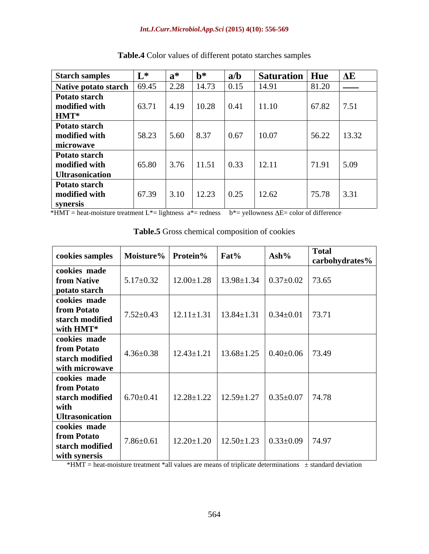#### *Int.J.Curr.Microbiol.App.Sci* **(2015) 4(10): 556-569**

| <b>Starch samples</b>           |                                                                     | $a^*$ | $ b$ *          | a/b                | Saturation   Hue |              | $\Delta E$                     |
|---------------------------------|---------------------------------------------------------------------|-------|-----------------|--------------------|------------------|--------------|--------------------------------|
| Native potato starch 69.45 2.28 |                                                                     |       | $14.73$ 0.15    |                    | 14.91            | 81.20        | $\overbrace{\hspace{25mm}}^{}$ |
| Potato starch                   |                                                                     |       |                 |                    |                  |              |                                |
| modified with                   | 63.71                                                               |       | 4.19 10.28 0.41 |                    | 11.10            | 67.82        | 7.51                           |
| <b>HMT*</b>                     |                                                                     |       |                 |                    |                  |              |                                |
| Potato starch                   |                                                                     |       |                 |                    |                  |              |                                |
| modified with                   | $58.23$ 5.60                                                        |       | 8.37            | 0.67               | 10.07            | 56.22        | 13.32                          |
| microwave                       |                                                                     |       |                 |                    |                  |              |                                |
| Potato starch                   |                                                                     |       |                 |                    |                  |              |                                |
| modified with                   | 65.80                                                               | 3.76  | $11.51$ 0.33    |                    | $12.11$          | $71.91$ 5.09 |                                |
| <b>Ultrasonication</b>          |                                                                     |       |                 |                    |                  |              |                                |
| Potato starch                   |                                                                     |       |                 |                    |                  |              |                                |
| modified with                   | $\begin{array}{ c c c c c } \hline 67.39 & 3.10 \hline \end{array}$ |       | 12.23           | $\vert 0.25 \vert$ | 12.62            | $75.78$ 3.31 |                                |
| synersis                        |                                                                     |       |                 |                    |                  |              |                                |

**Table.4** Color values of different potato starches samples

 $*HMT = heat-moisture treatment L* = lightness$   $a* = redness$   $b* = yellowness \Delta E = color of difference$ 

| cookies samples   Moisture%   Protein%   Fat%                                                             |  |                                                                                                          | Ash% | <b>Total</b><br>carbohydrates% |
|-----------------------------------------------------------------------------------------------------------|--|----------------------------------------------------------------------------------------------------------|------|--------------------------------|
| cookies made                                                                                              |  |                                                                                                          |      |                                |
| from Native<br>potato starch                                                                              |  | $\vert$ 5.17±0.32 $\vert$ 12.00±1.28 $\vert$ 13.98±1.34 $\vert$ 0.37±0.02 $\vert$ 73.65                  |      |                                |
| cookies made                                                                                              |  |                                                                                                          |      |                                |
|                                                                                                           |  |                                                                                                          |      |                                |
| from Potato<br>starch modified<br>with HMT*                                                               |  |                                                                                                          |      |                                |
|                                                                                                           |  |                                                                                                          |      |                                |
| cookies made                                                                                              |  |                                                                                                          |      |                                |
| from Potato<br>starch modified                                                                            |  | $\vert$ 4.36±0.38 $\vert$ 12.43±1.21 $\vert$ 13.68±1.25 $\vert$ 0.40±0.06 $\vert$ 73.49                  |      |                                |
| with microwave                                                                                            |  |                                                                                                          |      |                                |
| cookies made                                                                                              |  |                                                                                                          |      |                                |
| from Potato                                                                                               |  |                                                                                                          |      |                                |
| starch modified   $6.70 \pm 0.41$   $12.28 \pm 1.22$   $12.59 \pm 1.27$   $0.35 \pm 0.07$   74.78<br>with |  |                                                                                                          |      |                                |
| <b>Ultrasonication</b>                                                                                    |  |                                                                                                          |      |                                |
| cookies made                                                                                              |  |                                                                                                          |      |                                |
| from Potato                                                                                               |  | $17.86 \pm 0.61$ $\vert$ 12.20 $\pm$ 1.20 $\vert$ 12.50 $\pm$ 1.23 $\vert$ 0.33 $\pm$ 0.09 $\vert$ 74.97 |      |                                |
| starch modified<br>with synersis                                                                          |  |                                                                                                          |      |                                |

**Table.5** Gross chemical composition of cookies

\*HMT = heat-moisture treatment \*all values are means of triplicate determinations  $\pm$  standard deviation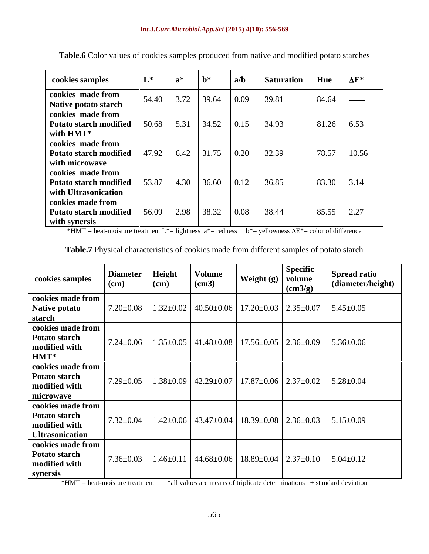| cookies samples                                                            | $L^*$ | ่วง            | $\mathbf{b}^*$ | a/b          | <b>Saturation</b> | Hue   | $\Delta E^*$  |
|----------------------------------------------------------------------------|-------|----------------|----------------|--------------|-------------------|-------|---------------|
| cookies made from<br>Native potato starch                                  | 54.40 | 3.72           | 39.64          | 0.09         | 39.81             | 84.64 | $\frac{1}{2}$ |
| cookies made from<br>Potato starch modified<br>with HMT*                   | 50.68 | 5.31           | 34.52          | 0.15         | 34.93             | 81.26 | 6.53          |
| cookies made from<br><b>Potato starch modified</b><br>with microwave       | 47.92 | 6.42           | 31.75          | 0.20         | 32.39             | 78.57 | 10.56         |
| cookies made from<br><b>Potato starch modified</b><br>with Ultrasonication | 53.87 | $ 4.30\rangle$ | 36.60          | $\vert$ 0.12 | 36.85             | 83.30 | 3.14          |
| cookies made from<br><b>Potato starch modified</b><br>with synersis        | 56.09 | 12.98          | 38.32          | 0.08         | 38.44             | 85.55 | 2.27          |

**Table.6** Color values of cookies samples produced from native and modified potato starches

\*HMT = heat-moisture treatment L\*= lightness  $a^*$ = redness  $b^*$ = yellowness  $\Delta E^*$ = color of difference

| Table.7 Physical characteristics of cookies made from different samples of potato starch |  |  |
|------------------------------------------------------------------------------------------|--|--|
|------------------------------------------------------------------------------------------|--|--|

| cookies samples                                                               | <b>Diameter</b><br>(cm) | Height<br>(cm) | <b>Volume</b><br>(cm3) | Weight $(g)$ volume                                                     | <b>Specific</b><br>$\text{(cm3/g)}$ | <b>Spread ratio</b><br>(diameter/height) |
|-------------------------------------------------------------------------------|-------------------------|----------------|------------------------|-------------------------------------------------------------------------|-------------------------------------|------------------------------------------|
| cookies made from<br>  Native potato<br>starch                                | $7.20{\pm}0.08$         |                |                        | $1.32 \pm 0.02$   40.50 $\pm$ 0.06   17.20 $\pm$ 0.03   2.35 $\pm$ 0.07 |                                     | $5.45 \pm 0.05$                          |
| cookies made from<br>Potato starch<br>modified with<br>$HMT^*$                | $7.24 \pm 0.06$         |                |                        | $1.35\pm0.05$   41.48 $\pm0.08$   17.56 $\pm0.05$   2.36 $\pm0.09$      |                                     | $5.36 \pm 0.06$                          |
| cookies made from<br>Potato starch<br>modified with<br>microwave              | $7.29 \pm 0.05$         |                |                        | $1.38\pm0.09$ 42.29 $\pm0.07$ 17.87 $\pm0.06$ 2.37 $\pm0.02$            |                                     | $5.28 \pm 0.04$                          |
| cookies made from<br>Potato starch<br>modified with<br><b>Ultrasonication</b> | $7.32 \pm 0.04$         |                |                        | $1.42\pm0.06$   $43.47\pm0.04$   $18.39\pm0.08$   $2.36\pm0.03$         |                                     | $5.15 \pm 0.09$                          |
| cookies made from<br>Potato starch<br>modified with<br>synersis               | $7.36 \pm 0.03$         |                |                        | $1.46\pm0.11$   $44.68\pm0.06$   $18.89\pm0.04$   $2.37\pm0.10$         |                                     | $5.04 \pm 0.12$                          |

\*HMT = heat-moisture treatment \*all values are means of triplicate determinations ± standard deviation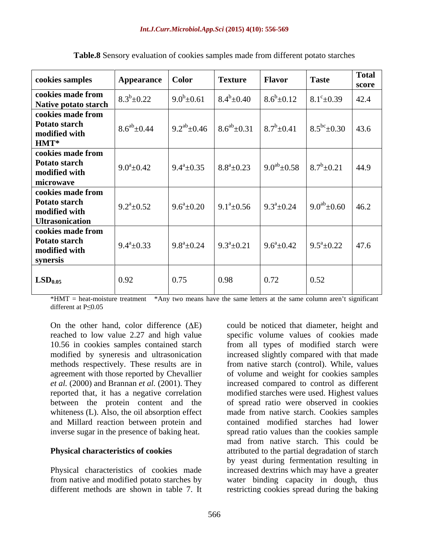| cookies samples                                                               | Appearance   Color          |                     | <b>Texture</b>      | <b>Flavor</b>       | <b>Taste</b>           | <b>Total</b><br>score |
|-------------------------------------------------------------------------------|-----------------------------|---------------------|---------------------|---------------------|------------------------|-----------------------|
| cookies made from<br>Native potato starch                                     | $8.3^b \pm 0.22$            | $9.0^b \pm 0.61$    | $8.4^b \pm 0.40$    | $8.6^b \pm 0.12$    | $8.1^{\circ} \pm 0.39$ | 42.4                  |
| cookies made from<br>Potato starch<br>modified with<br>$HMT^*$                | $8.6^{ab} \pm 0.44$         | $9.2^{ab} \pm 0.46$ | $8.6^{ab} \pm 0.31$ | $8.7^b \pm 0.41$    | $8.5^{bc} \pm 0.30$    | $\vert$ 43.6          |
| cookies made from<br>Potato starch<br>modified with<br>microwave              | 9.0 <sup>a</sup> $\pm$ 0.42 | $9.4^{\circ}$ ±0.35 | $8.8^a \pm 0.23$    | $9.0^{ab} \pm 0.58$ | $8.7^b \pm 0.21$       | 44.9                  |
| cookies made from<br>Potato starch<br>modified with<br><b>Ultrasonication</b> | $9.2^a \pm 0.52$            | $9.6^a \pm 0.20$    | $9.1^a \pm 0.56$    | $9.3^a \pm 0.24$    | $9.0^{ab} \pm 0.60$    | 46.2                  |
| cookies made from<br>Potato starch<br>modified with<br>synersis               | $9.4^a \pm 0.33$            | $9.8^a \pm 0.24$    | $9.3^a \pm 0.21$    | $9.6^{\circ}$ ±0.42 | $9.5^a \pm 0.22$       | 47.6                  |
| LSD <sub>0.05</sub>                                                           | 0.92                        | 0.75                | 0.98                | 0.72                | 0.52                   |                       |

**Table.8** Sensory evaluation of cookies samples made from different potato starches

 $*HMT = heat-moisture treatment$   $*Any two means have the same letters at the same column aren't significant$ different at  $P \leq 0.05$ 

modified by syneresis and ultrasonication between the protein content and the inverse sugar in the presence of baking heat.

Physical characteristics of cookies made different methods are shown in table 7. It restricting cookies spread during the baking

On the other hand, color difference  $(\Delta E)$  could be noticed that diameter, height and reached to low value 2.27 and high value specific volume values of cookies made 10.56 in cookies samples contained starch from all types of modified starch were methods respectively. These results are in from native starch (control). While, values agreement with those reported by Chevallier of volume and weight for cookies samples *et al.* (2000) and Brannan *et al.* (2001). They increased compared to control as different reported that, it has a negative correlation modified starches were used. Highest values whiteness (L). Also, the oil absorption effect made from native starch. Cookies samples and Millard reaction between protein and contained modified starches had lower **Physical characteristics of cookies** attributed to the partial degradation of starch from native and modified potato starches by water binding capacity in dough, thus increased slightly compared with that made of spread ratio were observed in cookies spread ratio values than the cookies sample mad from native starch. This could be by yeast during fermentation resulting in increased dextrins which may have a greater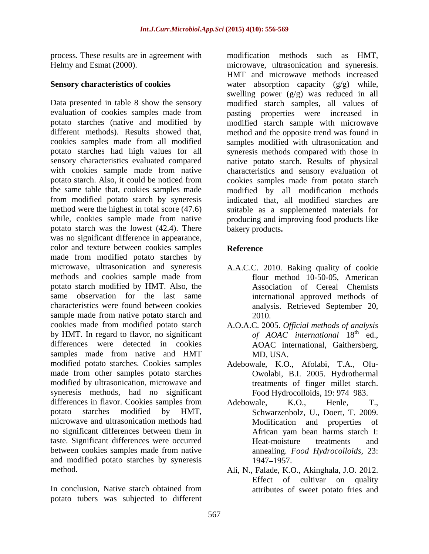process. These results are in agreement with

Data presented in table 8 show the sensory modified starch samples, all values of evaluation of cookies samples made from pasting properties were increased in potato starches (native and modified by modified starch sample with microwave different methods). Results showed that, method and the opposite trend was found in cookies samples made from all modified samples modified with ultrasonication and potato starches had high values for all syneresis methods compared with those in sensory characteristics evaluated compared native potato starch. Results of physical with cookies sample made from native characteristics and sensory evaluation of potato starch. Also, it could be noticed from cookies samples made from potato starch the same table that, cookies samples made modified by all modification methods from modified potato starch by syneresis indicated that, all modified starches are method were the highest in total score (47.6) suitable as a supplemented materials for while, cookies sample made from native producing and improving food products like potato starch was the lowest (42.4). There bakery products. was no significant difference in appearance, color and texture between cookies samples made from modified potato starches by microwave, ultrasonication and syneresis A.A.C.C. 2010. Baking quality of cookie methods and cookies sample made from potato starch modified by HMT. Also, the same observation for the last same international approved methods of characteristics were found between cookies analysis. Retrieved September 20, sample made from native potato starch and  $2010$ . cookies made from modified potato starch A.O.A.C. 2005. Official methods of analysis by HMT. In regard to flavor, no significant differences were detected in cookies AOAC international, Gaithersberg, samples made from native and HMT MD, USA. modified potato starches. Cookies samples Adebowale, K.O., Afolabi, T.A., Olu made from other samples potato starches modified by ultrasonication, microwave and syneresis methods, had no significant differences in flavor. Cookies samples from Adebowale, K.O., Henle, T., potato starches modified by HMT, Schwarzenbolz, U., Doert, T. 2009. microwave and ultrasonication methods had no significant differences between them in African vam bean harms starch I: taste. Significant differences were occurred between cookies samples made from native and modified potato starches by syneresis 1947–1957.

In conclusion, Native starch obtained from attributes of sweet potato fries and potato tubers was subjected to different

Helmy and Esmat (2000). microwave, ultrasonication and syneresis. **Sensory characteristics of cookies** water absorption capacity (g/g) while, modification methods such as HMT, HMT and microwave methods increased swelling power  $(g/g)$  was reduced in all bakery products**. Reference**

- flour method 10-50-05, American Association of Cereal Chemists 2010.
- *of AOAC international* 18  $\frac{1}{2}$  the  $\frac{1}{2}$ ed., MD, USA.
- Owolabi, B.I. 2005. Hydrothermal treatments of finger millet starch. Food Hydrocolloids, 19: 974–983.
- Adebowale, K.O., Henle, T., Modification and properties of African yam bean harms starch I: Heat-moisture treatments and annealing. *Food Hydrocolloids,* 23: 1947 1957.
- method. Ali, N., Falade, K.O., Akinghala, J.O. 2012. Effect of cultivar on quality attributes of sweet potato fries and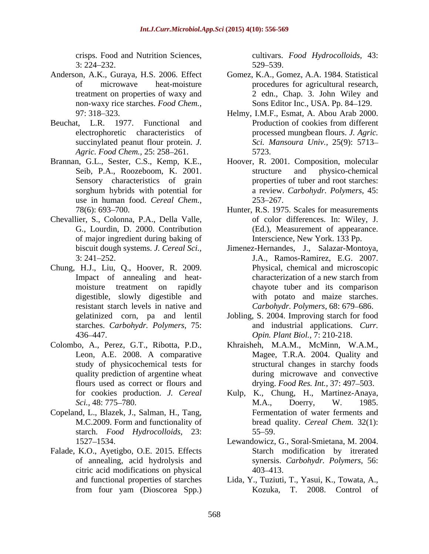crisps. Food and Nutrition Sciences, cultivars. *Food Hydrocolloids,* 43:  $3: 224 - 232.$   $529 - 539.$ 

- Anderson, A.K., Guraya, H.S. 2006. Effect non-waxy rice starches. *Food Chem.,*
- *Agric. Food Chem.,* 25: 258–261. 5723.
- use in human food. *Cereal Chem.*, 253–267.<br>78(6): 693–700. **Hunter**, R.S. 197
- Chevallier, S., Colonna, P.A., Della Valle, of major ingredient during baking of
- Chung, H.J., Liu, Q., Hoover, R. 2009. resistant starch levels in native and starches. *Carbohydr. Polymers,* 75:
- Colombo, A., Perez, G.T., Ribotta, P.D., quality prediction of argentine wheat
- Copeland, L., Blazek, J., Salman, H., Tang, starch. *Food Hydrocolloids,* 23:
- Falade, K.O., Ayetigbo, O.E. 2015. Effects citric acid modifications on physical

529 539.

- of microwave heat-moisture procedures for agricultural research, treatment on properties of waxy and 2 edn., Chap. 3. John Wiley and Gomez, K.A., Gomez, A.A. 1984. Statistical Sons Editor Inc., USA. Pp. 84-129.
- 97: 318 323. Helmy, I.M.F., Esmat, A. Abou Arab 2000. Beuchat, L.R. 1977. Functional and electrophoretic characteristics of processed mungbean flours. *J. Agric.* succinylated peanut flour protein. *J. Sci. Mansoura Univ.,* 25(9): 5713 Production of cookies from different 5723.
- Brannan, G.L., Sester, C.S., Kemp, K.E., Hoover, R. 2001. Composition, molecular Seib, P.A., Roozeboom, K. 2001. Structure and physico-chemical Sensory characteristics of grain properties of tuber and root starches: sorghum hybrids with potential for a review. *Carbohydr. Polymers,* 45: structure and physico-chemical 253–267.
	- 78(6): 693–700. 
	Hunter, R.S. 1975. Scales for measurements G., Lourdin, D. 2000. Contribution (Ed.), Measurement of appearance. of color differences. In: Wiley, J. Interscience, New York. 133 Pp.
	- biscuit dough systems. *J. Cereal Sci.*, Jimenez-Hernandes, J., Salazar-Montoya, 3: 241 252. J.A., Ramos-Ramirez, E.G. 2007. Impact of annealing and heat-<br>characterization of a new starch from moisture treatment on rapidly chayote tuber and its comparison digestible, slowly digestible and with potato and maize starches. Physical, chemical and microscopic characterization of a new starch from *Carbohydr. Polymers, 68: 679–686.*
	- gelatinized corn, pa and lentil Jobling, S. 2004. Improving starch for food 436 447. *Opin. Plant Biol.,* 7: 210-218. and industrial applications. *Curr.*
	- Leon, A.E. 2008. A comparative Magee, T.R.A. 2004. Quality and study of physicochemical tests for structural changes in starchy foods flours used as correct or flours and drying. *Food Res. Int.*, 37: 497–503. Khraisheh, M.A.M., McMinn, W.A.M., during microwave and convective
	- for cookies production. *J. Cereal*  Kulp, K., Chung, H., Martinez-Anaya, *Sci.,* 48: 775 780. M.C.2009. Form and functionality of bread quality. *Cereal Chem.* 32(1): M.A., Doerry, W. 1985. Fermentation of water ferments and  $55 - 59.$
	- 1527 1534. Lewandowicz, G., Soral-Smietana, M. 2004. of annealing, acid hydrolysis and synersis. *Carbohydr. Polymers,* 56: Starch modification by itrerated 403 413.
	- and functional properties of starches Lida, Y., Tuziuti, T., Yasui, K., Towata, A., from four yam (Dioscorea Spp.) Kozuka, T. 2008. Control of